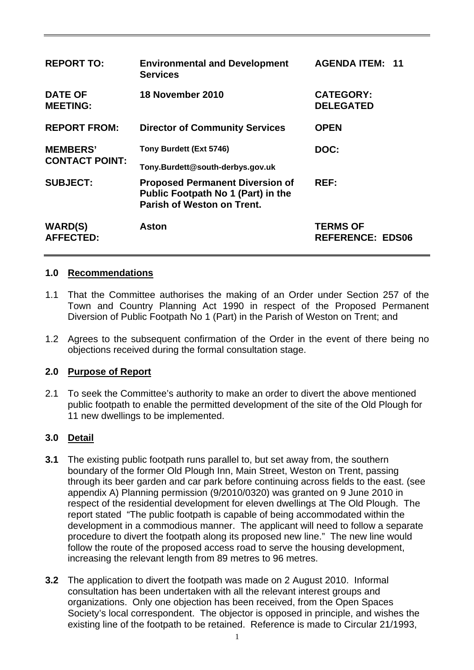| <b>REPORT TO:</b>                        | <b>Environmental and Development</b><br><b>Services</b>                                                    | <b>AGENDA ITEM: 11</b>                     |
|------------------------------------------|------------------------------------------------------------------------------------------------------------|--------------------------------------------|
| <b>DATE OF</b><br><b>MEETING:</b>        | 18 November 2010                                                                                           | <b>CATEGORY:</b><br><b>DELEGATED</b>       |
| <b>REPORT FROM:</b>                      | <b>Director of Community Services</b>                                                                      | <b>OPEN</b>                                |
| <b>MEMBERS'</b><br><b>CONTACT POINT:</b> | Tony Burdett (Ext 5746)<br>Tony.Burdett@south-derbys.gov.uk                                                | DOC:                                       |
| <b>SUBJECT:</b>                          | <b>Proposed Permanent Diversion of</b><br>Public Footpath No 1 (Part) in the<br>Parish of Weston on Trent. | REF:                                       |
| <b>WARD(S)</b><br><b>AFFECTED:</b>       | Aston                                                                                                      | <b>TERMS OF</b><br><b>REFERENCE: EDS06</b> |

## **1.0 Recommendations**

- 1.1 That the Committee authorises the making of an Order under Section 257 of the Town and Country Planning Act 1990 in respect of the Proposed Permanent Diversion of Public Footpath No 1 (Part) in the Parish of Weston on Trent; and
- 1.2 Agrees to the subsequent confirmation of the Order in the event of there being no objections received during the formal consultation stage.

### **2.0 Purpose of Report**

2.1 To seek the Committee's authority to make an order to divert the above mentioned public footpath to enable the permitted development of the site of the Old Plough for 11 new dwellings to be implemented.

# **3.0 Detail**

- **3.1** The existing public footpath runs parallel to, but set away from, the southern boundary of the former Old Plough Inn, Main Street, Weston on Trent, passing through its beer garden and car park before continuing across fields to the east. (see appendix A) Planning permission (9/2010/0320) was granted on 9 June 2010 in respect of the residential development for eleven dwellings at The Old Plough. The report stated "The public footpath is capable of being accommodated within the development in a commodious manner. The applicant will need to follow a separate procedure to divert the footpath along its proposed new line." The new line would follow the route of the proposed access road to serve the housing development, increasing the relevant length from 89 metres to 96 metres.
- **3.2** The application to divert the footpath was made on 2 August 2010. Informal consultation has been undertaken with all the relevant interest groups and organizations. Only one objection has been received, from the Open Spaces Society's local correspondent. The objector is opposed in principle, and wishes the existing line of the footpath to be retained. Reference is made to Circular 21/1993,